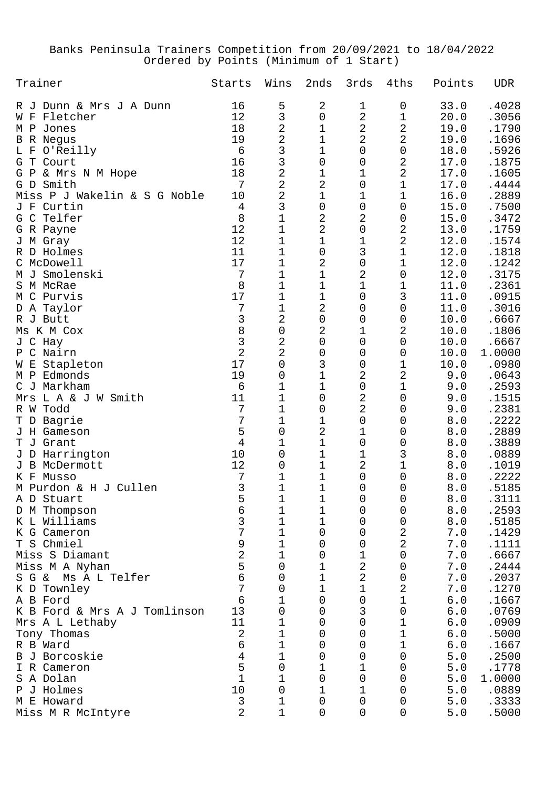## Banks Peninsula Trainers Competition from 20/09/2021 to 18/04/2022 Ordered by Points (Minimum of 1 Start)

| Trainer                        | Starts         | Wins                                  | 2nds             | 3rds           | 4ths                | Points            | <b>UDR</b>     |
|--------------------------------|----------------|---------------------------------------|------------------|----------------|---------------------|-------------------|----------------|
| R J Dunn & Mrs J A Dunn        | 16             | 5                                     | 2                | 1              | 0                   | 33.0              | .4028          |
| Fletcher<br>W F                | 12             | 3                                     | 0                | $\overline{a}$ | $\mathbf 1$         | 20.0              | .3056          |
| M P<br>Jones                   | 18             | $\overline{c}$                        | $\mathbf 1$      | $\overline{a}$ | $\mathbf 2$         | 19.0              | .1790          |
| <b>B</b> R Negus               | 19             | $\overline{a}$                        | $\mathbf 1$      | $\overline{2}$ | $\overline{2}$      | 19.0              | .1696          |
| O'Reilly<br>L F                | $\epsilon$     | 3                                     | $\mathbf 1$      | 0              | $\mathsf{O}\xspace$ | 18.0              | .5926          |
| G T Court                      | 16             | 3                                     | $\mathsf 0$      | 0              | 2                   | 17.0              | .1875          |
| G P<br>& Mrs N M Hope          | 18             | $\overline{a}$                        | $\mathbf 1$      | 1              | $\overline{a}$      | 17.0              | .1605          |
| Smith<br>G D                   | 7              | $\overline{a}$                        | $\overline{a}$   | 0              | $\mathbf 1$         | 17.0              | .4444          |
| Miss P J Wakelin & S G Noble   | 10             | $\overline{2}$                        | $\mathbf 1$      | 1              | $\mathbf 1$         | 16.0              | .2889          |
| Curtin<br>J F                  | 4              | 3                                     | 0                | 0              | 0                   | 15.0              | .7500          |
| G C Telfer                     | 8              | $\overline{1}$                        | $\overline{2}$   | 2              | 0                   | 15.0              | .3472          |
| G R Payne                      | 12             | $\mathbf 1$                           | $\overline{a}$   | 0              | 2                   | 13.0              | .1759          |
| J M Gray                       | 12             | $\mathbf 1$                           | $\mathbf 1$      | $\mathbf 1$    | $\overline{2}$      | 12.0              | .1574          |
| R D Holmes                     | 11             | $\mathbf 1$                           | 0                | 3              | $\mathbf 1$         | 12.0              | .1818          |
| C McDowell                     | 17             | $\mathbf 1$                           | $\overline{a}$   | 0              | $\mathbf 1$         | 12.0              | .1242          |
| M J Smolenski                  | 7              | $\mathbf 1$                           | $\mathbf 1$      | 2              | 0                   | 12.0              | .3175          |
| S M McRae                      | 8              | 1                                     | $\mathbf 1$      | $\mathbf{1}$   | 1                   | 11.0              | .2361          |
| M C Purvis                     | 17             | $\mathbf 1$                           | $\mathbf 1$      | 0              | 3                   | 11.0              | .0915          |
| D A Taylor                     | 7              | $\mathbf 1$                           | $\sqrt{2}$       | 0              | 0                   | 11.0              | .3016          |
| R J Butt<br>Ms K M Cox         | 3<br>8         | $\overline{2}$<br>$\mathsf{O}\xspace$ | $\mathbf 0$<br>2 | 0<br>1         | 0<br>2              | 10.0              | .6667          |
| J C Hay                        | 3              | $\overline{c}$                        | $\mathbf 0$      | 0              | 0                   | 10.0<br>10.0      | .1806<br>.6667 |
| C Nairn<br>P                   | $\overline{2}$ | $\overline{2}$                        | 0                | 0              | 0                   | 10.0              | 1.0000         |
| Stapleton<br>W E               | 17             | $\mathsf{O}\xspace$                   | 3                | 0              | $\mathbf 1$         | 10.0              | .0980          |
| Edmonds<br>M P                 | 19             | 0                                     | $\mathbf 1$      | 2              | 2                   | 9.0               | .0643          |
| C J<br>Markham                 | 6              | 1                                     | $\mathbf 1$      | 0              | $\mathbf 1$         | 9.0               | .2593          |
| L A & J W Smith<br>Mrs         | 11             | 1                                     | 0                | 2              | 0                   | 9.0               | .1515          |
| R W Todd                       | 7              | 1                                     | 0                | $\overline{2}$ | 0                   | 9.0               | .2381          |
| Bagrie<br>T D                  | 7              | 1                                     | 1                | 0              | 0                   | $\,8$ . $0$       | .2222          |
| J H Gameson                    | 5              | 0                                     | $\overline{2}$   | 1              | 0                   | $\,8$ . $0$       | .2889          |
| T<br>J Grant                   | $\overline{4}$ | 1                                     | $\mathbf 1$      | 0              | 0                   | 8.0               | .3889          |
| J D Harrington                 | 10             | 0                                     | $\mathbf 1$      | 1              | 3                   | $\,8$ . $0$       | .0889          |
| J B<br>McDermott               | 12             | 0                                     | 1                | $\overline{2}$ | $\mathbf 1$         | $\,8$ . $0$       | .1019          |
| K F<br>Musso                   | 7              | 1                                     | 1                | 0              | 0                   | $\,8$ . $0$       | .2222          |
| M Purdon & H J Cullen          | 3              | 1                                     | 1                | 0              | 0                   | 8.0               | .5185          |
| A D Stuart                     | 5              | $\mathbf 1$                           | $\mathbf 1$      | 0              | 0                   | 8.0               | .3111          |
| D M Thompson                   | б              | 1                                     | 1                | 0              | 0                   | 8.0               | .2593          |
| K L Williams                   | 3              | 1                                     | 1                | 0              | 0                   | $\bf 8$ . $\bf 0$ | .5185          |
| K G Cameron                    | 7              | $\mathbf 1$                           | 0                | 0              | 2                   | 7.0               | .1429          |
| T S Chmiel                     | 9              | 1                                     | 0                | 0              | $\overline{2}$      | 7.0               | .1111          |
| Miss S Diamant                 | $\overline{2}$ | 1                                     | 0                | 1              | 0                   | 7.0               | .6667          |
| Miss M A Nyhan                 | 5              | 0                                     | 1                | 2              | 0                   | $7 \, . \, 0$     | .2444          |
| Ms A L Telfer<br>$S$ $G$ &     | 6              | 0                                     | 1                | 2              | 0                   | 7.0               | .2037          |
| K D Townley                    | 7              | 0                                     | 1                | 1              | 2                   | 7.0               | .1270          |
| A B Ford                       | 6<br>13        | 1                                     | 0                | 0              | 1                   | 6.0               | .1667          |
| K B Ford & Mrs A J Tomlinson   | 11             | 0<br>1                                | 0<br>0           | 3<br>0         | 0<br>1              | $6.0$<br>6.0      | .0769<br>.0909 |
| Mrs A L Lethaby<br>Tony Thomas | 2              | 1                                     | 0                | 0              | 1                   | $6.0$             | .5000          |
| R B Ward                       | 6              | 1                                     | 0                | 0              | 1                   | $6.0$             | .1667          |
| B J Borcoskie                  | $\overline{4}$ | 1                                     | 0                | 0              | 0                   | 5.0               | .2500          |
| I R Cameron                    | 5              | 0                                     | 1                | 1              | 0                   | 5.0               | .1778          |
| S A Dolan                      | $\mathbf 1$    | 1                                     | 0                | 0              | 0                   | 5.0               | 1.0000         |
| J Holmes<br>Ρ                  | 10             | 0                                     | 1                | 1              | 0                   | 5.0               | .0889          |
| M E Howard                     | 3              | 1                                     | 0                | 0              | 0                   | 5.0               | .3333          |
| Miss M R McIntyre              | 2              | $\mathbf 1$                           | 0                | 0              | 0                   | 5.0               | .5000          |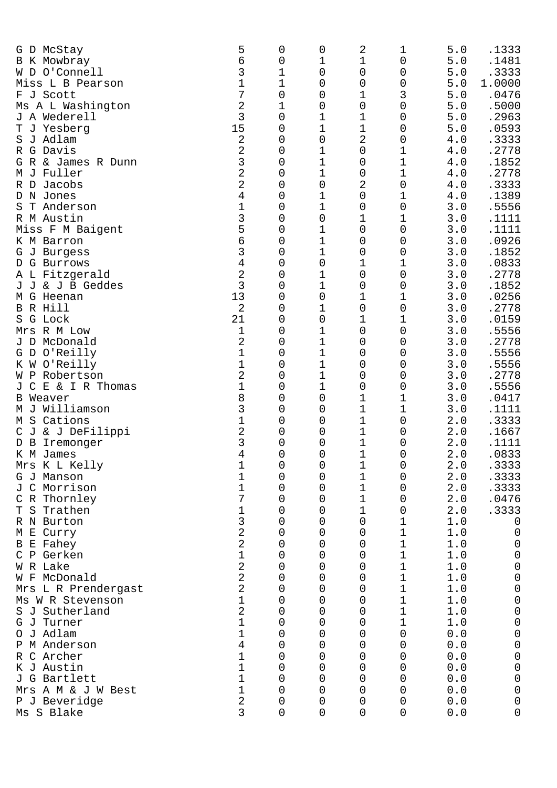| G D McStay                     | 5              | 0           | 0           | 2      | 1           | 5.0        | .1333           |
|--------------------------------|----------------|-------------|-------------|--------|-------------|------------|-----------------|
| <b>B</b> K Mowbray             | 6              | 0           | 1           | 1      | 0           | $5.0$      | .1481           |
| W D O'Connell                  | 3<br>1         | 1           | 0           | 0      | 0           | 5.0<br>5.0 | .3333           |
| Miss L B Pearson<br>F J Scott  | 7              | 1<br>0      | 0<br>0      | 0<br>1 | 0<br>3      | 5.0        | 1.0000<br>.0476 |
| Ms A L Washington              | 2              | 1           | 0           | 0      | 0           | 5.0        | .5000           |
| J A Wederell                   | 3              | 0           | 1           | 1      | 0           | 5.0        | .2963           |
| T J Yesberg                    | 15             | 0           | 1           | 1      | 0           | $5.0$      | .0593           |
| J Adlam<br>S                   | 2              | 0           | 0           | 2      | 0           | 4.0        | .3333           |
| R G Davis                      | 2              | 0           | 1           | 0      | 1           | 4.0        | .2778           |
| G R & James R Dunn             | 3              | 0           | 1           | 0      | 1           | 4.0        | .1852           |
| M J Fuller                     | 2              | 0           | 1           |        | 1           | 4.0        | .2778           |
| R D                            | 2              | 0           | 0           | 0<br>2 | $\mathsf 0$ | 4.0        | .3333           |
| Jacobs<br>D N Jones            | 4              | 0           | 1           | 0      | 1           | 4.0        | .1389           |
| T Anderson<br>S                | 1              | 0           | 1           | 0      | 0           | 3.0        | .5556           |
| R M Austin                     | 3              | 0           | 0           | 1      | 1           | 3.0        | .1111           |
|                                | 5              | 0           | 1           | 0      | 0           | 3.0        | .1111           |
| Miss F M Baigent<br>K M Barron | б              | 0           | 1           | 0      |             | 3.0        | .0926           |
|                                | 3              | 0           | 1           |        | 0           | 3.0        | .1852           |
| G J Burgess                    |                |             | 0           | 0      | 0           |            |                 |
| G Burrows<br>D                 | 4              | 0           | 1           | 1      | 1           | 3.0        | .0833           |
| A L Fitzgerald                 | 2<br>3         | 0           |             | 0      | 0           | 3.0        | .2778           |
| J J & J B Geddes               |                | 0           | 1           | 0      | 0           | 3.0        | .1852           |
| M G Heenan                     | 13             | 0           | 0           | 1      | 1           | 3.0        | .0256           |
| B R Hill                       | 2              | 0           | 1           | 0      | 0           | 3.0        | .2778           |
| S G Lock                       | 21             | 0           | 0           | 1      | 1           | 3.0        | .0159           |
| Mrs R M Low                    | 1              | 0           | 1           | 0      | 0           | 3.0        | .5556           |
| J D McDonald                   | 2              | 0           | $\mathbf 1$ | 0      | 0           | 3.0        | .2778           |
| G D O'Reilly                   | 1              | 0           | $\mathbf 1$ | 0      | 0           | 3.0        | .5556           |
| K W O'Reilly                   | 1              | 0           | $\mathbf 1$ | 0      | 0           | 3.0        | .5556           |
| W P Robertson                  | 2              | 0           | 1           | 0      | 0           | 3.0        | .2778           |
| C E & I R Thomas<br>J          | 1              | 0           | $\mathbf 1$ | 0      | 0           | 3.0        | .5556           |
| <b>B</b> Weaver                | 8              | 0           | 0           | 1      | 1           | 3.0        | .0417           |
| M J Williamson                 | 3              | 0           | 0           | 1      | 1           | 3.0        | .1111           |
| M S Cations                    | 1              | 0           | 0           | 1      | 0           | 2.0        | .3333           |
| C J & J DeFilippi              | 2              | 0           | 0           | 1      | 0           | 2.0        | .1667           |
| D B<br>Iremonger               | 3              | 0           | 0           | 1      | 0           | $2.0$      | .1111           |
| K M James                      | 4              | 0           | 0           | 1      | 0           | 2.0        | .0833           |
| Mrs K L Kelly                  | T              | 0           | 0           | T      | 0           | 2.0        | .3333           |
| G J Manson                     | 1              | 0           | 0           | 1      | 0           | 2.0        | .3333           |
| J C Morrison                   | 1              | 0           | 0           | 1      | 0           | 2.0        | .3333           |
| C R Thornley                   | 7              | 0           | 0           | 1      | 0           | 2.0        | .0476           |
| Trathen<br>Т<br>S              | 1              | 0           | 0           | 1      | 0           | 2.0        | .3333           |
| R N Burton                     | 3              | 0           | 0           | 0      | 1           | 1.0        | $\mathbf 0$     |
| M E Curry                      | 2              | 0           | 0           | 0      | 1           | 1.0        | $\mathbf 0$     |
| <b>B</b> E Fahey               | 2              | 0           | 0           | 0      | 1           | 1.0        | $\mathsf 0$     |
| C P Gerken                     | 1              | 0           | 0           | 0      | 1           | 1.0        | $\mathsf 0$     |
| W R Lake                       | $\overline{2}$ | 0           | 0           | 0      | $\mathbf 1$ | 1.0        | $\mathsf 0$     |
| W F McDonald                   | $\overline{2}$ | 0           | 0           | 0      | 1           | 1.0        | $\mbox{O}$      |
| Mrs L R Prendergast            | $\overline{2}$ | 0           | 0           | 0      | $\mathbf 1$ | 1.0        | $\mbox{O}$      |
| Ms W R Stevenson               | 1              | 0           | 0           | 0      | $1\,$       | $1.0$      | $\mbox{O}$      |
| S J Sutherland                 | 2              | 0           | 0           | 0      | 1           | 1.0        | $\mbox{O}$      |
| G J Turner                     | $\mathbf{1}$   | 0           | 0           | 0      | 1           | 1.0        | $\mathbf 0$     |
| O J Adlam                      | 1              | 0           | 0           | 0      | $\mathbf 0$ | 0.0        | $\mathbf 0$     |
| P M Anderson                   | 4              | 0           | 0           | 0      | 0           | 0.0        | $\mbox{O}$      |
| C Archer<br>R                  | 1              | 0           | 0           | 0      | 0           | 0.0        | $\mbox{O}$      |
| K J Austin                     | 1              | 0           | 0           | 0      | 0           | 0.0        | $\mathsf 0$     |
| J G Bartlett                   | 1              | 0           | 0           | 0      | 0           | 0.0        | $\mathsf 0$     |
| Mrs A M & J W Best             | 1              | 0           | 0           | 0      | 0           | 0.0        | $\mathbf 0$     |
| P J Beveridge                  | 2              | 0           | 0           | 0      | 0           | 0.0        | $\mathbf 0$     |
| Ms S Blake                     | 3              | $\mathbf 0$ | 0           | 0      | 0           | 0.0        | 0               |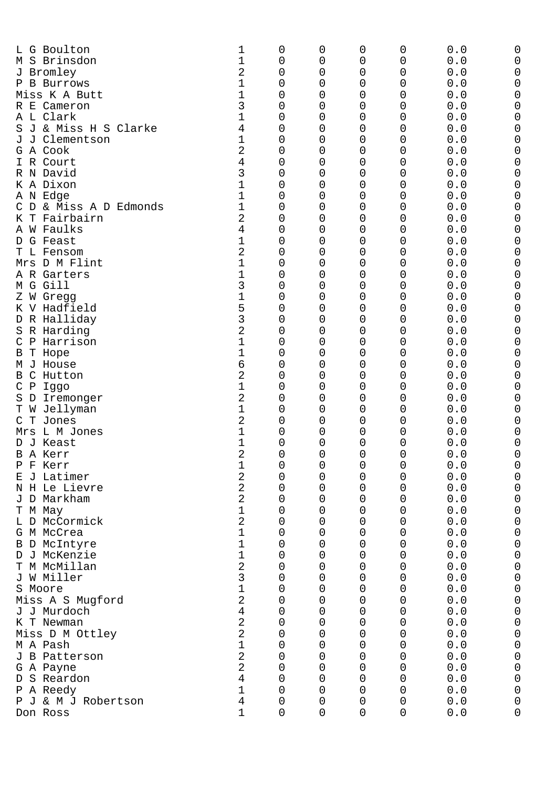| L G Boulton<br>M S Brinsdon<br>J Bromley<br>P B Burrows<br>Miss K A Butt<br>R E Cameron<br>A L Clark<br>J & Miss H S Clarke<br>S<br>J Clementson<br>J<br>G A Cook<br>I R Court<br>R N David<br>K A Dixon<br>A N Edge<br>& Miss A D Edmonds<br>C D<br>T Fairbairn<br>K<br>A W Faulks<br>D G Feast<br>T L Fensom<br>Mrs D M Flint<br>A R Garters<br>M G Gill<br>Z W Gregg<br>K V Hadfield<br>D R Halliday<br>R Harding<br>S<br>P Harrison<br>С<br>T Hope<br>В | 1<br>1<br>2<br>1<br>1<br>3<br>1<br>4<br>1<br>2<br>4<br>3<br>1<br>1<br>1<br>2<br>4<br>1<br>2<br>1<br>1<br>3<br>1<br>5<br>3<br>2<br>1<br>1 | 0<br>0<br>0<br>0<br>0<br>0<br>0<br>0<br>0<br>0<br>0<br>0<br>0<br>0<br>0<br>0<br>0<br>0<br>0<br>0<br>0<br>0<br>0<br>0<br>0<br>0<br>0<br>0 | 0<br>0<br>0<br>0<br>0<br>$\mathbf 0$<br>0<br>$\mathbf 0$<br>0<br>$\mathbf 0$<br>0<br>$\mathbf 0$<br>0<br>$\mathbf 0$<br>0<br>0<br>0<br>0<br>0<br>0<br>$\mathbf 0$<br>0<br>$\mathbf 0$<br>0<br>$\mathbf 0$<br>0<br>$\mathbf 0$<br>0 | 0<br>0<br>0<br>0<br>0<br>0<br>0<br>0<br>0<br>0<br>0<br>0<br>0<br>0<br>0<br>0<br>0<br>0<br>0<br>0<br>0<br>0<br>0<br>0<br>0<br>0<br>0<br>0 | 0<br>0<br>0<br>0<br>0<br>$\mathbf 0$<br>0<br>$\mathbf 0$<br>0<br>$\mathbf 0$<br>0<br>0<br>0<br>0<br>0<br>0<br>0<br>0<br>0<br>0<br>0<br>0<br>$\mathbf 0$<br>0<br>$\mathbf 0$<br>0<br>0<br>0 | 0.0<br>0.0<br>0.0<br>0.0<br>0.0<br>0.0<br>0.0<br>0.0<br>0.0<br>0.0<br>0.0<br>0.0<br>0.0<br>0.0<br>0.0<br>0.0<br>0.0<br>0.0<br>0.0<br>0.0<br>0.0<br>0.0<br>0.0<br>0.0<br>0.0<br>0.0<br>0.0<br>0.0 | 0<br>0<br>0<br>0<br>0 |
|-------------------------------------------------------------------------------------------------------------------------------------------------------------------------------------------------------------------------------------------------------------------------------------------------------------------------------------------------------------------------------------------------------------------------------------------------------------|------------------------------------------------------------------------------------------------------------------------------------------|------------------------------------------------------------------------------------------------------------------------------------------|------------------------------------------------------------------------------------------------------------------------------------------------------------------------------------------------------------------------------------|------------------------------------------------------------------------------------------------------------------------------------------|--------------------------------------------------------------------------------------------------------------------------------------------------------------------------------------------|--------------------------------------------------------------------------------------------------------------------------------------------------------------------------------------------------|-----------------------|
| J House<br>M<br>C<br>Hutton<br>B                                                                                                                                                                                                                                                                                                                                                                                                                            | 6<br>2                                                                                                                                   | 0<br>0                                                                                                                                   | 0<br>0                                                                                                                                                                                                                             | 0<br>0                                                                                                                                   | 0<br>0                                                                                                                                                                                     | 0.0<br>0.0                                                                                                                                                                                       |                       |
| $\mathbf P$<br>C<br>Iggo                                                                                                                                                                                                                                                                                                                                                                                                                                    | 1                                                                                                                                        | 0                                                                                                                                        | 0                                                                                                                                                                                                                                  | 0                                                                                                                                        | 0                                                                                                                                                                                          | 0.0                                                                                                                                                                                              | 0                     |
| D<br>S<br>Iremonger                                                                                                                                                                                                                                                                                                                                                                                                                                         | 2                                                                                                                                        | 0                                                                                                                                        | 0                                                                                                                                                                                                                                  | 0                                                                                                                                        | 0                                                                                                                                                                                          | 0.0                                                                                                                                                                                              |                       |
| Jellyman<br>Т<br>M                                                                                                                                                                                                                                                                                                                                                                                                                                          | 1<br>2                                                                                                                                   | 0<br>0                                                                                                                                   | 0<br>0                                                                                                                                                                                                                             | 0<br>0                                                                                                                                   | 0                                                                                                                                                                                          | 0.0<br>0.0                                                                                                                                                                                       | 0                     |
| т<br>Jones<br>С<br>Mrs L M Jones                                                                                                                                                                                                                                                                                                                                                                                                                            | 1                                                                                                                                        | 0                                                                                                                                        | 0                                                                                                                                                                                                                                  | 0                                                                                                                                        | 0<br>0                                                                                                                                                                                     | 0.0                                                                                                                                                                                              | 0                     |
| J Keast<br>D                                                                                                                                                                                                                                                                                                                                                                                                                                                | 1                                                                                                                                        | 0                                                                                                                                        | 0                                                                                                                                                                                                                                  | 0                                                                                                                                        | 0                                                                                                                                                                                          | 0.0                                                                                                                                                                                              |                       |
| B A Kerr                                                                                                                                                                                                                                                                                                                                                                                                                                                    | 2                                                                                                                                        | 0                                                                                                                                        | $\mathbf 0$                                                                                                                                                                                                                        | 0                                                                                                                                        | 0                                                                                                                                                                                          | 0.0                                                                                                                                                                                              | 0                     |
| P F Kerr<br>E J Latimer                                                                                                                                                                                                                                                                                                                                                                                                                                     | 2                                                                                                                                        | 0<br>0                                                                                                                                   | 0<br>0                                                                                                                                                                                                                             | 0<br>0                                                                                                                                   | 0<br>0                                                                                                                                                                                     | 0.0<br>0.0                                                                                                                                                                                       | 0<br>Ω                |
| N H Le Lievre                                                                                                                                                                                                                                                                                                                                                                                                                                               | 2                                                                                                                                        | 0                                                                                                                                        | 0                                                                                                                                                                                                                                  | 0                                                                                                                                        | 0                                                                                                                                                                                          | $0.0$                                                                                                                                                                                            | 0                     |
| J D Markham                                                                                                                                                                                                                                                                                                                                                                                                                                                 | $\overline{a}$                                                                                                                           | 0                                                                                                                                        | 0                                                                                                                                                                                                                                  | 0                                                                                                                                        | $\mathsf 0$                                                                                                                                                                                | 0.0                                                                                                                                                                                              | 0                     |
| T M May                                                                                                                                                                                                                                                                                                                                                                                                                                                     | 1                                                                                                                                        | 0                                                                                                                                        | 0                                                                                                                                                                                                                                  | 0                                                                                                                                        | $\mathsf{O}\xspace$                                                                                                                                                                        | $0.0$                                                                                                                                                                                            | 0                     |
| L D McCormick<br>G M McCrea                                                                                                                                                                                                                                                                                                                                                                                                                                 | $\overline{2}$<br>1                                                                                                                      | 0<br>0                                                                                                                                   | 0<br>0                                                                                                                                                                                                                             | 0<br>0                                                                                                                                   | $\mathsf 0$<br>$\mathsf{O}\xspace$                                                                                                                                                         | 0.0<br>$0.0$                                                                                                                                                                                     | 0<br>0                |
| B D McIntyre                                                                                                                                                                                                                                                                                                                                                                                                                                                | 1                                                                                                                                        | 0                                                                                                                                        | 0                                                                                                                                                                                                                                  | 0                                                                                                                                        | $\mathsf 0$                                                                                                                                                                                | 0.0                                                                                                                                                                                              | 0                     |
| D J McKenzie                                                                                                                                                                                                                                                                                                                                                                                                                                                | 1                                                                                                                                        | 0                                                                                                                                        | $\mathbf 0$                                                                                                                                                                                                                        | 0                                                                                                                                        | $\mathsf{O}\xspace$                                                                                                                                                                        | $0.0$                                                                                                                                                                                            | 0                     |
| T M McMillan                                                                                                                                                                                                                                                                                                                                                                                                                                                | $\overline{2}$                                                                                                                           | 0                                                                                                                                        | 0                                                                                                                                                                                                                                  | 0                                                                                                                                        | $\mathsf 0$                                                                                                                                                                                | 0.0                                                                                                                                                                                              | 0                     |
| J W Miller<br>S Moore                                                                                                                                                                                                                                                                                                                                                                                                                                       | 3<br>1                                                                                                                                   | 0<br>0                                                                                                                                   | 0<br>0                                                                                                                                                                                                                             | 0<br>0                                                                                                                                   | $\mathsf{O}\xspace$<br>$\mathsf 0$                                                                                                                                                         | $0.0$<br>0.0                                                                                                                                                                                     | 0<br>0                |
| Miss A S Mugford                                                                                                                                                                                                                                                                                                                                                                                                                                            | $\overline{2}$                                                                                                                           | 0                                                                                                                                        | 0                                                                                                                                                                                                                                  | 0                                                                                                                                        | $\mathsf{O}\xspace$                                                                                                                                                                        | $0.0$                                                                                                                                                                                            | 0                     |
| J J Murdoch                                                                                                                                                                                                                                                                                                                                                                                                                                                 | $\overline{4}$                                                                                                                           | 0                                                                                                                                        | 0                                                                                                                                                                                                                                  | 0                                                                                                                                        | $\mathsf 0$                                                                                                                                                                                | 0.0                                                                                                                                                                                              | 0                     |
| K T Newman                                                                                                                                                                                                                                                                                                                                                                                                                                                  | $\overline{2}$                                                                                                                           | 0                                                                                                                                        | 0                                                                                                                                                                                                                                  | 0                                                                                                                                        | $\mathsf 0$                                                                                                                                                                                | 0.0                                                                                                                                                                                              | 0                     |
| Miss D M Ottley<br>M A Pash                                                                                                                                                                                                                                                                                                                                                                                                                                 | $\overline{2}$<br>1                                                                                                                      | 0<br>0                                                                                                                                   | 0<br>0                                                                                                                                                                                                                             | 0<br>0                                                                                                                                   | $\mathsf 0$<br>$\mathbf 0$                                                                                                                                                                 | 0.0<br>0.0                                                                                                                                                                                       | 0<br>0                |
| J B Patterson                                                                                                                                                                                                                                                                                                                                                                                                                                               | $\overline{2}$                                                                                                                           | 0                                                                                                                                        | 0                                                                                                                                                                                                                                  | 0                                                                                                                                        | $\mathsf 0$                                                                                                                                                                                | 0.0                                                                                                                                                                                              | 0                     |
| G A Payne                                                                                                                                                                                                                                                                                                                                                                                                                                                   | $\overline{2}$                                                                                                                           | 0                                                                                                                                        | 0                                                                                                                                                                                                                                  | 0                                                                                                                                        | $\mathsf 0$                                                                                                                                                                                | 0.0                                                                                                                                                                                              | 0                     |
| D S Reardon                                                                                                                                                                                                                                                                                                                                                                                                                                                 | $\overline{4}$                                                                                                                           | 0                                                                                                                                        | 0                                                                                                                                                                                                                                  | 0                                                                                                                                        | $\mathsf 0$                                                                                                                                                                                | 0.0                                                                                                                                                                                              | 0                     |
| P A Reedy<br>P J & M J Robertson                                                                                                                                                                                                                                                                                                                                                                                                                            | 1<br>4                                                                                                                                   | 0<br>$\mathbf 0$                                                                                                                         | 0<br>0                                                                                                                                                                                                                             | 0<br>0                                                                                                                                   | $\mathsf 0$<br>$\mathsf 0$                                                                                                                                                                 | 0.0<br>0.0                                                                                                                                                                                       | 0<br>0                |
| Don Ross                                                                                                                                                                                                                                                                                                                                                                                                                                                    | 1                                                                                                                                        | 0                                                                                                                                        | $\mathbf 0$                                                                                                                                                                                                                        | 0                                                                                                                                        | $\mathsf{O}\xspace$                                                                                                                                                                        | 0.0                                                                                                                                                                                              | 0                     |